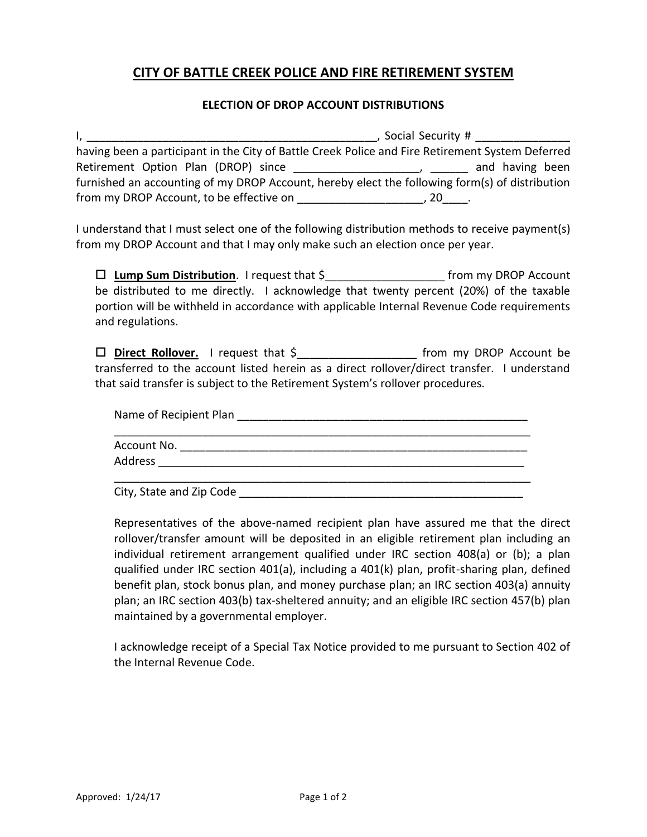## **CITY OF BATTLE CREEK POLICE AND FIRE RETIREMENT SYSTEM**

## **ELECTION OF DROP ACCOUNT DISTRIBUTIONS**

|                                          | Social Security #                                                                                |
|------------------------------------------|--------------------------------------------------------------------------------------------------|
|                                          | having been a participant in the City of Battle Creek Police and Fire Retirement System Deferred |
| Retirement Option Plan (DROP) since      | and having been                                                                                  |
|                                          | furnished an accounting of my DROP Account, hereby elect the following form(s) of distribution   |
| from my DROP Account, to be effective on |                                                                                                  |

I understand that I must select one of the following distribution methods to receive payment(s) from my DROP Account and that I may only make such an election once per year.

 **Lump Sum Distribution**. I request that \$\_\_\_\_\_\_\_\_\_\_\_\_\_\_\_\_\_\_\_ from my DROP Account be distributed to me directly. I acknowledge that twenty percent (20%) of the taxable portion will be withheld in accordance with applicable Internal Revenue Code requirements and regulations.

□ **Direct Rollover.** I request that \$ from my DROP Account be transferred to the account listed herein as a direct rollover/direct transfer. I understand that said transfer is subject to the Retirement System's rollover procedures.

| Name of Recipient Plan   |  |
|--------------------------|--|
| Account No.              |  |
| Address                  |  |
| City, State and Zip Code |  |

Representatives of the above-named recipient plan have assured me that the direct rollover/transfer amount will be deposited in an eligible retirement plan including an individual retirement arrangement qualified under IRC section 408(a) or (b); a plan qualified under IRC section 401(a), including a 401(k) plan, profit-sharing plan, defined benefit plan, stock bonus plan, and money purchase plan; an IRC section 403(a) annuity plan; an IRC section 403(b) tax-sheltered annuity; and an eligible IRC section 457(b) plan maintained by a governmental employer.

I acknowledge receipt of a Special Tax Notice provided to me pursuant to Section 402 of the Internal Revenue Code.